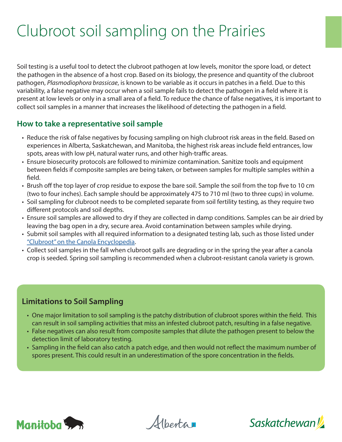# Clubroot soil sampling on the Prairies

Soil testing is a useful tool to detect the clubroot pathogen at low levels, monitor the spore load, or detect the pathogen in the absence of a host crop. Based on its biology, the presence and quantity of the clubroot pathogen, *Plasmodiophora brassicae*, is known to be variable as it occurs in patches in a field. Due to this variability, a false negative may occur when a soil sample fails to detect the pathogen in a field where it is present at low levels or only in a small area of a field. To reduce the chance of false negatives, it is important to collect soil samples in a manner that increases the likelihood of detecting the pathogen in a field.

## **How to take a representative soil sample**

- Reduce the risk of false negatives by focusing sampling on high clubroot risk areas in the field. Based on experiences in Alberta, Saskatchewan, and Manitoba, the highest risk areas include field entrances, low spots, areas with low pH, natural water runs, and other high-traffic areas.
- Ensure biosecurity protocols are followed to minimize contamination. Sanitize tools and equipment between fields if composite samples are being taken, or between samples for multiple samples within a field.
- Brush off the top layer of crop residue to expose the bare soil. Sample the soil from the top five to 10 cm (two to four inches). Each sample should be approximately 475 to 710 ml (two to three cups) in volume.
- Soil sampling for clubroot needs to be completed separate from soil fertility testing, as they require two different protocols and soil depths.
- Ensure soil samples are allowed to dry if they are collected in damp conditions. Samples can be air dried by leaving the bag open in a dry, secure area. Avoid contamination between samples while drying.
- Submit soil samples with all required information to a designated testing lab, such as those listed under "Clubroot" on the Canola Encyclopedia.
- Collect soil samples in the fall when clubroot galls are degrading or in the spring the year after a canola crop is seeded. Spring soil sampling is recommended when a clubroot-resistant canola variety is grown.

## **Limitations to Soil Sampling**

- One major limitation to soil sampling is the patchy distribution of clubroot spores within the field. This can result in soil sampling activities that miss an infested clubroot patch, resulting in a false negative.
- False negatives can also result from composite samples that dilute the pathogen present to below the detection limit of laboratory testing.
- Sampling in the field can also catch a patch edge, and then would not reflect the maximum number of spores present. This could result in an underestimation of the spore concentration in the fields.



Alberta